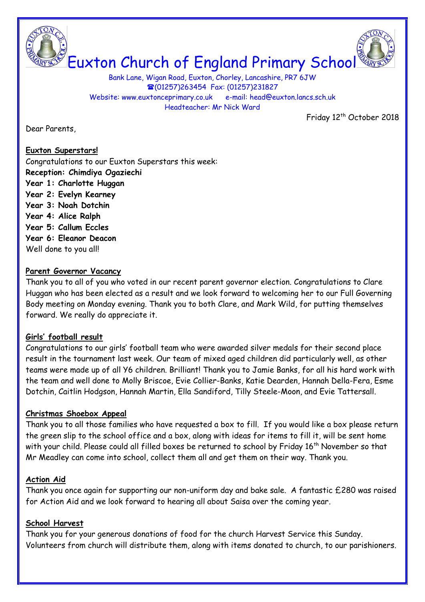

Bank Lane, Wigan Road, Euxton, Chorley, Lancashire, PR7 6JW **■(01257)263454 Fax: (01257)231827** Website: www.euxtonceprimary.co.uk e-mail: [head@euxton.lancs.sch.uk](mailto:head@euxton.lancs.sch.uk) Headteacher: Mr Nick Ward

Friday 12<sup>th</sup> October 2018

Dear Parents,

**Euxton Superstars!**

Congratulations to our Euxton Superstars this week: **Reception: Chimdiya Ogaziechi Year 1: Charlotte Huggan Year 2: Evelyn Kearney Year 3: Noah Dotchin Year 4: Alice Ralph Year 5: Callum Eccles Year 6: Eleanor Deacon** Well done to you all!

### **Parent Governor Vacancy**

Thank you to all of you who voted in our recent parent governor election. Congratulations to Clare Huggan who has been elected as a result and we look forward to welcoming her to our Full Governing Body meeting on Monday evening. Thank you to both Clare, and Mark Wild, for putting themselves forward. We really do appreciate it.

### **Girls' football result**

Congratulations to our girls' football team who were awarded silver medals for their second place result in the tournament last week. Our team of mixed aged children did particularly well, as other teams were made up of all Y6 children. Brilliant! Thank you to Jamie Banks, for all his hard work with the team and well done to Molly Briscoe, Evie Collier-Banks, Katie Dearden, Hannah Della-Fera, Esme Dotchin, Caitlin Hodgson, Hannah Martin, Ella Sandiford, Tilly Steele-Moon, and Evie Tattersall.

### **Christmas Shoebox Appeal**

Thank you to all those families who have requested a box to fill. If you would like a box please return the green slip to the school office and a box, along with ideas for items to fill it, will be sent home with your child. Please could all filled boxes be returned to school by Friday 16<sup>th</sup> November so that Mr Meadley can come into school, collect them all and get them on their way. Thank you.

### **Action Aid**

Thank you once again for supporting our non-uniform day and bake sale. A fantastic £280 was raised for Action Aid and we look forward to hearing all about Saisa over the coming year.

### **School Harvest**

Thank you for your generous donations of food for the church Harvest Service this Sunday. Volunteers from church will distribute them, along with items donated to church, to our parishioners.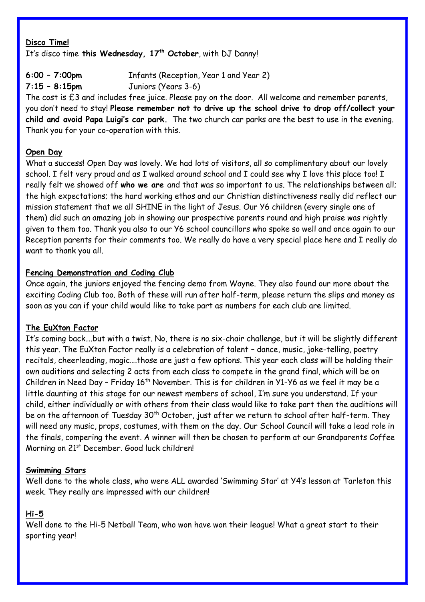### **Disco Time!** It's disco time **this Wednesday, 17th October**, with DJ Danny!

**6:00 – 7:00pm** Infants (Reception, Year 1 and Year 2)

**7:15 – 8:15pm** Juniors (Years 3-6)

The cost is £3 and includes free juice. Please pay on the door. All welcome and remember parents, you don't need to stay! **Please remember not to drive up the school drive to drop off/collect your child and avoid Papa Luigi's car park.** The two church car parks are the best to use in the evening. Thank you for your co-operation with this.

## **Open Day**

What a success! Open Day was lovely. We had lots of visitors, all so complimentary about our lovely school. I felt very proud and as I walked around school and I could see why I love this place too! I really felt we showed off **who we are** and that was so important to us. The relationships between all; the high expectations; the hard working ethos and our Christian distinctiveness really did reflect our mission statement that we all SHINE in the light of Jesus. Our Y6 children (every single one of them) did such an amazing job in showing our prospective parents round and high praise was rightly given to them too. Thank you also to our Y6 school councillors who spoke so well and once again to our Reception parents for their comments too. We really do have a very special place here and I really do want to thank you all.

## **Fencing Demonstration and Coding Club**

Once again, the juniors enjoyed the fencing demo from Wayne. They also found our more about the exciting Coding Club too. Both of these will run after half-term, please return the slips and money as soon as you can if your child would like to take part as numbers for each club are limited.

## **The EuXton Factor**

It's coming back….but with a twist. No, there is no six-chair challenge, but it will be slightly different this year. The EuXton Factor really is a celebration of talent – dance, music, joke-telling, poetry recitals, cheerleading, magic….those are just a few options. This year each class will be holding their own auditions and selecting 2 acts from each class to compete in the grand final, which will be on Children in Need Day – Friday  $16<sup>th</sup>$  November. This is for children in Y1-Y6 as we feel it may be a little daunting at this stage for our newest members of school, I'm sure you understand. If your child, either individually or with others from their class would like to take part then the auditions will be on the afternoon of Tuesday 30<sup>th</sup> October, just after we return to school after half-term. They will need any music, props, costumes, with them on the day. Our School Council will take a lead role in the finals, compering the event. A winner will then be chosen to perform at our Grandparents Coffee Morning on 21<sup>st</sup> December. Good luck children!

## **Swimming Stars**

Well done to the whole class, who were ALL awarded 'Swimming Star' at Y4's lesson at Tarleton this week. They really are impressed with our children!

# **Hi-5**

Well done to the Hi-5 Netball Team, who won have won their league! What a great start to their sporting year!